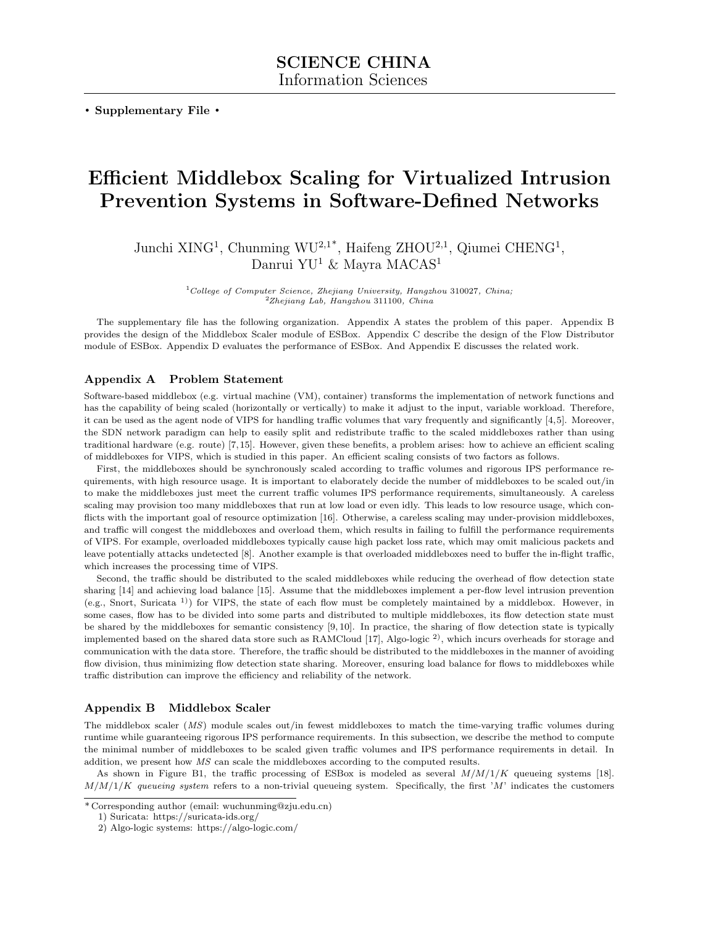**. Supplementary File .**

# **Efficient Middlebox Scaling for Virtualized Intrusion Prevention Systems in Software-Defined Networks**

Junchi XING<sup>1</sup>, Chunming WU<sup>2,1\*</sup>, Haifeng ZHOU<sup>2,1</sup>, Qiumei CHENG<sup>1</sup>, Danrui YU<sup>1</sup> & Mayra MACAS<sup>1</sup>

> <sup>1</sup>*College of Computer Science, Zhejiang University, Hangzhou* 310027*, China;* <sup>2</sup>*Zhejiang Lab, Hangzhou* 311100*, China*

The supplementary file has the following organization. Appendix A states the problem of this paper. Appendix B provides the design of the Middlebox Scaler module of ESBox. Appendix C describe the design of the Flow Distributor module of ESBox. Appendix D evaluates the performance of ESBox. And Appendix E discusses the related work.

## **Appendix A Problem Statement**

Software-based middlebox (e.g. virtual machine (VM), container) transforms the implementation of network functions and has the capability of being scaled (horizontally or vertically) to make it adjust to the input, variable workload. Therefore, it can be used as the agent node of VIPS for handling traffic volumes that vary frequently and significantly [4,5]. Moreover, the SDN network paradigm can help to easily split and redistribute traffic to the scaled middleboxes rather than using traditional hardware (e.g. route) [7,15]. However, given these benefits, a problem arises: how to achieve an efficient scaling of middleboxes for VIPS, which is studied in this paper. An efficient scaling consists of two factors as follows.

First, the middleboxes should be synchronously scaled according to traffic volumes and rigorous IPS performance requirements, with high resource usage. It is important to elaborately decide the number of middleboxes to be scaled out/in to make the middleboxes just meet the current traffic volumes IPS performance requirements, simultaneously. A careless scaling may provision too many middleboxes that run at low load or even idly. This leads to low resource usage, which conflicts with the important goal of resource optimization [16]. Otherwise, a careless scaling may under-provision middleboxes, and traffic will congest the middleboxes and overload them, which results in failing to fulfill the performance requirements of VIPS. For example, overloaded middleboxes typically cause high packet loss rate, which may omit malicious packets and leave potentially attacks undetected [8]. Another example is that overloaded middleboxes need to buffer the in-flight traffic, which increases the processing time of VIPS.

Second, the traffic should be distributed to the scaled middleboxes while reducing the overhead of flow detection state sharing [14] and achieving load balance [15]. Assume that the middleboxes implement a per-flow level intrusion prevention (e.g., Snort, Suricata 1)) for VIPS, the state of each flow must be completely maintained by a middlebox. However, in some cases, flow has to be divided into some parts and distributed to multiple middleboxes, its flow detection state must be shared by the middleboxes for semantic consistency [9, 10]. In practice, the sharing of flow detection state is typically implemented based on the shared data store such as RAMCloud  $[17]$ , Algo-logic  $^2$ ), which incurs overheads for storage and communication with the data store. Therefore, the traffic should be distributed to the middleboxes in the manner of avoiding flow division, thus minimizing flow detection state sharing. Moreover, ensuring load balance for flows to middleboxes while traffic distribution can improve the efficiency and reliability of the network.

#### **Appendix B Middlebox Scaler**

The middlebox scaler (*MS*) module scales out/in fewest middleboxes to match the time-varying traffic volumes during runtime while guaranteeing rigorous IPS performance requirements. In this subsection, we describe the method to compute the minimal number of middleboxes to be scaled given traffic volumes and IPS performance requirements in detail. In addition, we present how *MS* can scale the middleboxes according to the computed results.

As shown in Figure B1, the traffic processing of ESBox is modeled as several *M/M/*1*/K* queueing systems [18].  $M/M/1/K$  *queueing system* refers to a non-trivial queueing system. Specifically, the first '*M*' indicates the customers

<sup>\*</sup> Corresponding author (email: wuchunming@zju.edu.cn)

<sup>1)</sup> Suricata: https://suricata-ids.org/

<sup>2)</sup> Algo-logic systems: https://algo-logic.com/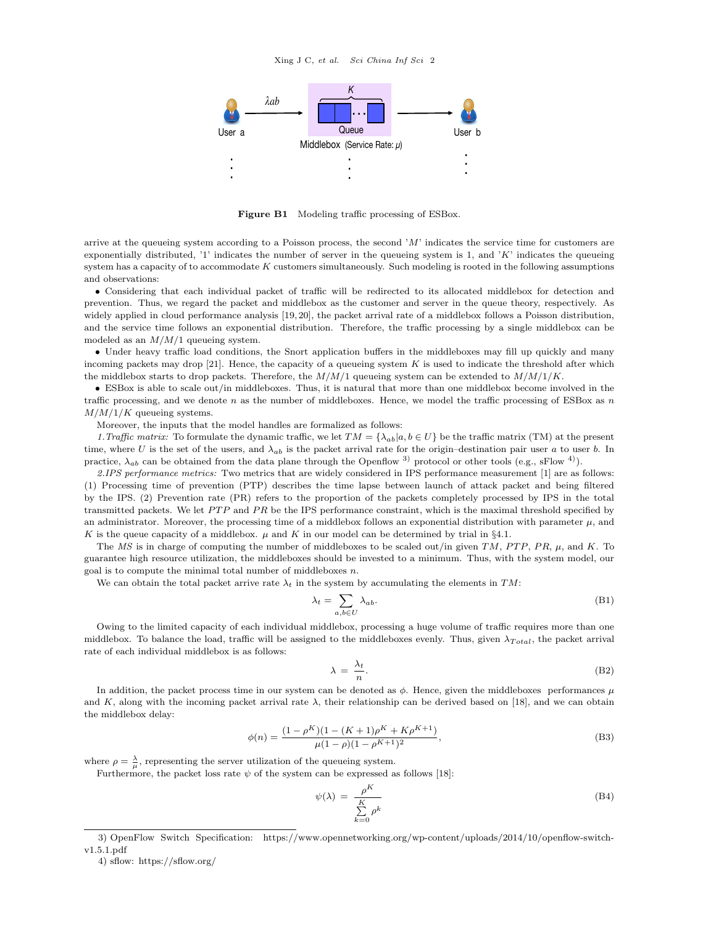

**Figure B1** Modeling traffic processing of ESBox.

arrive at the queueing system according to a Poisson process, the second '*M*' indicates the service time for customers are exponentially distributed, '1' indicates the number of server in the queueing system is 1, and '*K*' indicates the queueing system has a capacity of to accommodate *K* customers simultaneously. Such modeling is rooted in the following assumptions and observations:

• Considering that each individual packet of traffic will be redirected to its allocated middlebox for detection and prevention. Thus, we regard the packet and middlebox as the customer and server in the queue theory, respectively. As widely applied in cloud performance analysis [19, 20], the packet arrival rate of a middlebox follows a Poisson distribution, and the service time follows an exponential distribution. Therefore, the traffic processing by a single middlebox can be modeled as an *M/M/*1 queueing system.

• Under heavy traffic load conditions, the Snort application buffers in the middleboxes may fill up quickly and many incoming packets may drop [21]. Hence, the capacity of a queueing system *K* is used to indicate the threshold after which the middlebox starts to drop packets. Therefore, the *M/M/*1 queueing system can be extended to *M/M/*1*/K*.

• ESBox is able to scale out/in middleboxes. Thus, it is natural that more than one middlebox become involved in the traffic processing, and we denote *n* as the number of middleboxes. Hence, we model the traffic processing of ESBox as *n M/M/*1*/K* queueing systems.

Moreover, the inputs that the model handles are formalized as follows:

*1.Traffic matrix:* To formulate the dynamic traffic, we let  $TM = \{\lambda_{ab} | a, b \in U\}$  be the traffic matrix (TM) at the present time, where *U* is the set of the users, and  $\lambda_{ab}$  is the packet arrival rate for the origin–destination pair user *a* to user *b*. In practice,  $\lambda_{ab}$  can be obtained from the data plane through the Openflow <sup>3)</sup> protocol or other tools (e.g., sFlow <sup>4)</sup>).

*2.IPS performance metrics:* Two metrics that are widely considered in IPS performance measurement [1] are as follows: (1) Processing time of prevention (PTP) describes the time lapse between launch of attack packet and being filtered by the IPS. (2) Prevention rate (PR) refers to the proportion of the packets completely processed by IPS in the total transmitted packets. We let *PTP* and *PR* be the IPS performance constraint, which is the maximal threshold specified by an administrator. Moreover, the processing time of a middlebox follows an exponential distribution with parameter  $\mu$ , and *K* is the queue capacity of a middlebox.  $\mu$  and *K* in our model can be determined by trial in §4.1.

The *MS* is in charge of computing the number of middleboxes to be scaled out/in given *TM*, *P T P*, *P R*, *µ*, and *K*. To guarantee high resource utilization, the middleboxes should be invested to a minimum. Thus, with the system model, our goal is to compute the minimal total number of middleboxes *n*.

We can obtain the total packet arrive rate  $\lambda_t$  in the system by accumulating the elements in TM:

$$
\lambda_t = \sum_{a,b \in U} \lambda_{ab}.\tag{B1}
$$

Owing to the limited capacity of each individual middlebox, processing a huge volume of traffic requires more than one middlebox. To balance the load, traffic will be assigned to the middleboxes evenly. Thus, given  $λ_{Total}$ , the packet arrival rate of each individual middlebox is as follows:

$$
\lambda = \frac{\lambda_t}{n}.\tag{B2}
$$

In addition, the packet process time in our system can be denoted as  $\phi$ . Hence, given the middleboxes performances  $\mu$ and *K*, along with the incoming packet arrival rate  $\lambda$ , their relationship can be derived based on [18], and we can obtain the middlebox delay:

$$
\phi(n) = \frac{(1 - \rho^K)(1 - (K+1)\rho^K + K\rho^{K+1})}{\mu(1 - \rho)(1 - \rho^{K+1})^2},
$$
\n(B3)

where  $\rho = \frac{\lambda}{\mu}$ , representing the server utilization of the queueing system.

Furthermore, the packet loss rate  $\psi$  of the system can be expressed as follows [18]:

$$
\psi(\lambda) = \frac{\rho^K}{\sum_{k=0}^K \rho^k} \tag{B4}
$$

<sup>3)</sup> OpenFlow Switch Specification: https://www.opennetworking.org/wp-content/uploads/2014/10/openflow-switchv1.5.1.pdf

<sup>4)</sup> sflow: https://sflow.org/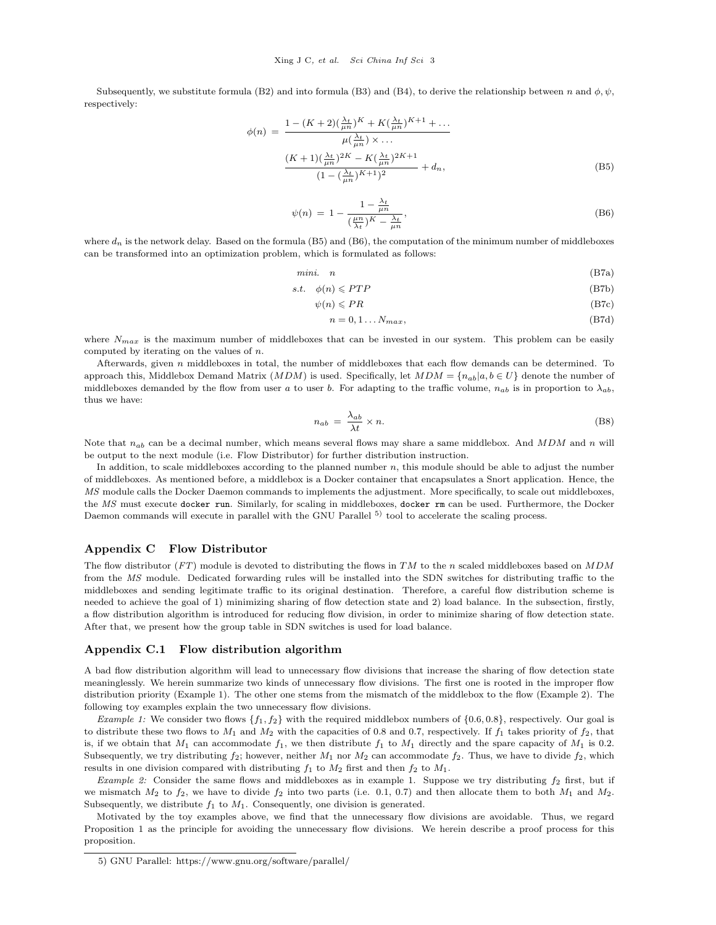Subsequently, we substitute formula (B2) and into formula (B3) and (B4), to derive the relationship between *n* and  $\phi$ ,  $\psi$ , respectively:

$$
\phi(n) = \frac{1 - (K+2)(\frac{\lambda_t}{\mu n})^K + K(\frac{\lambda_t}{\mu n})^{K+1} + \dots}{\mu(\frac{\lambda_t}{\mu n}) \times \dots}
$$

$$
\frac{(K+1)(\frac{\lambda_t}{\mu n})^{2K} - K(\frac{\lambda_t}{\mu n})^{2K+1}}{(1 - (\frac{\lambda_t}{\mu n})^{K+1})^2} + d_n,
$$
(B5)

$$
\psi(n) = 1 - \frac{1 - \frac{\lambda_t}{\mu n}}{\left(\frac{\mu n}{\lambda_t}\right)K - \frac{\lambda_t}{\mu n}},\tag{B6}
$$

where  $d_n$  is the network delay. Based on the formula (B5) and (B6), the computation of the minimum number of middleboxes can be transformed into an optimization problem, which is formulated as follows:

$$
min. \quad n \tag{B7a}
$$

$$
s.t. \quad \phi(n) \leqslant PTP \tag{B7b}
$$

 $\psi(n) \leqslant PR$  (B7c)

$$
n = 0, 1 \dots N_{max},\tag{B7d}
$$

where  $N_{max}$  is the maximum number of middleboxes that can be invested in our system. This problem can be easily computed by iterating on the values of *n*.

Afterwards, given *n* middleboxes in total, the number of middleboxes that each flow demands can be determined. To approach this, Middlebox Demand Matrix (*MDM*) is used. Specifically, let  $MDM = \{n_{ab}|a, b \in U\}$  denote the number of middleboxes demanded by the flow from user *a* to user *b*. For adapting to the traffic volume,  $n_{ab}$  is in proportion to  $\lambda_{ab}$ , thus we have:

$$
n_{ab} = \frac{\lambda_{ab}}{\lambda t} \times n. \tag{B8}
$$

Note that *nab* can be a decimal number, which means several flows may share a same middlebox. And *MDM* and *n* will be output to the next module (i.e. Flow Distributor) for further distribution instruction.

In addition, to scale middleboxes according to the planned number *n*, this module should be able to adjust the number of middleboxes. As mentioned before, a middlebox is a Docker container that encapsulates a Snort application. Hence, the *MS* module calls the Docker Daemon commands to implements the adjustment. More specifically, to scale out middleboxes, the *MS* must execute docker run. Similarly, for scaling in middleboxes, docker rm can be used. Furthermore, the Docker Daemon commands will execute in parallel with the GNU Parallel <sup>5)</sup> tool to accelerate the scaling process.

#### **Appendix C Flow Distributor**

The flow distributor (*FT*) module is devoted to distributing the flows in *TM* to the *n* scaled middleboxes based on *MDM* from the *MS* module. Dedicated forwarding rules will be installed into the SDN switches for distributing traffic to the middleboxes and sending legitimate traffic to its original destination. Therefore, a careful flow distribution scheme is needed to achieve the goal of 1) minimizing sharing of flow detection state and 2) load balance. In the subsection, firstly, a flow distribution algorithm is introduced for reducing flow division, in order to minimize sharing of flow detection state. After that, we present how the group table in SDN switches is used for load balance.

#### **Appendix C.1 Flow distribution algorithm**

A bad flow distribution algorithm will lead to unnecessary flow divisions that increase the sharing of flow detection state meaninglessly. We herein summarize two kinds of unnecessary flow divisions. The first one is rooted in the improper flow distribution priority (Example 1). The other one stems from the mismatch of the middlebox to the flow (Example 2). The following toy examples explain the two unnecessary flow divisions.

*Example 1:* We consider two flows *{f*1*, f*2*}* with the required middlebox numbers of *{*0*.*6*,* 0*.*8*}*, respectively. Our goal is to distribute these two flows to  $M_1$  and  $M_2$  with the capacities of 0.8 and 0.7, respectively. If  $f_1$  takes priority of  $f_2$ , that is, if we obtain that  $M_1$  can accommodate  $f_1$ , we then distribute  $f_1$  to  $M_1$  directly and the spare capacity of  $M_1$  is 0.2. Subsequently, we try distributing  $f_2$ ; however, neither  $M_1$  nor  $M_2$  can accommodate  $f_2$ . Thus, we have to divide  $f_2$ , which results in one division compared with distributing  $f_1$  to  $M_2$  first and then  $f_2$  to  $M_1$ .

*Example 2:* Consider the same flows and middleboxes as in example 1. Suppose we try distributing *f*<sup>2</sup> first, but if we mismatch  $M_2$  to  $f_2$ , we have to divide  $f_2$  into two parts (i.e. 0.1, 0.7) and then allocate them to both  $M_1$  and  $M_2$ . Subsequently, we distribute  $f_1$  to  $M_1$ . Consequently, one division is generated.

Motivated by the toy examples above, we find that the unnecessary flow divisions are avoidable. Thus, we regard Proposition 1 as the principle for avoiding the unnecessary flow divisions. We herein describe a proof process for this proposition.

<sup>5)</sup> GNU Parallel: https://www.gnu.org/software/parallel/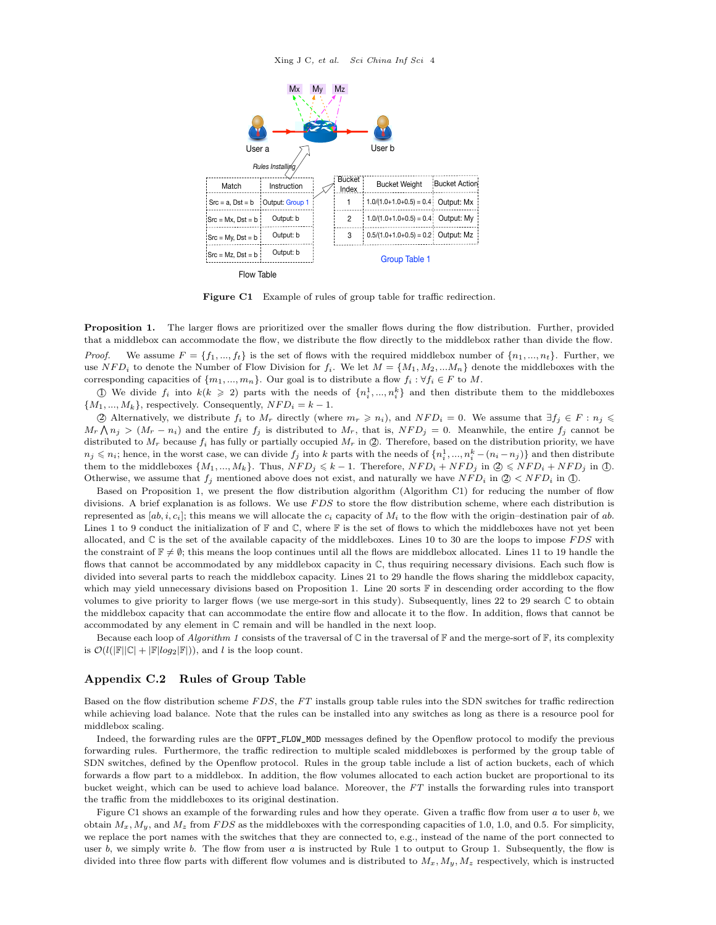

**Figure C1** Example of rules of group table for traffic redirection.

**Proposition 1.** The larger flows are prioritized over the smaller flows during the flow distribution. Further, provided that a middlebox can accommodate the flow, we distribute the flow directly to the middlebox rather than divide the flow. *Proof.* We assume  $F = \{f_1, ..., f_t\}$  is the set of flows with the required middlebox number of  $\{n_1, ..., n_t\}$ . Further, we use  $NFD_i$  to denote the Number of Flow Division for  $f_i$ . We let  $M = \{M_1, M_2, ... M_n\}$  denote the middleboxes with the corresponding capacities of  $\{m_1, ..., m_n\}$ . Our goal is to distribute a flow  $f_i : \forall f_i \in F$  to  $M$ .

*①* We divide  $f_i$  into  $k(k \geq 2)$  parts with the needs of  $\{n_i^1, ..., n_i^k\}$  and then distribute them to the middleboxes  ${M_1, ..., M_k}$ , respectively. Consequently,  $NFD_i = k - 1$ .

 $\oslash$  Alternatively, we distribute  $f_i$  to  $M_r$  directly (where  $m_r \geq n_i$ ), and  $NFD_i = 0$ . We assume that  $\exists f_j \in F : n_j \leq$  $M_r \wedge n_j > (M_r - n_i)$  and the entire  $f_j$  is distributed to  $M_r$ , that is,  $NFD_j = 0$ . Meanwhile, the entire  $f_j$  cannot be distributed to  $M_r$  because  $f_i$  has fully or partially occupied  $M_r$  in  $\mathcal{Q}$ . Therefore, based on the distribution priority, we have  $n_j \leqslant n_i$ ; hence, in the worst case, we can divide  $f_j$  into k parts with the needs of  $\{n_i^1, ..., n_i^k - (n_i - n_j)\}$  and then distribute them to the middleboxes  $\{M_1, ..., M_k\}$ . Thus,  $NFD_j \le k - 1$ . Therefore,  $NFD_i + NFD_j$  in  $\mathcal{Q} \le NFD_i + NFD_j$  in  $\mathcal{Q}$ . Otherwise, we assume that  $f_i$  mentioned above does not exist, and naturally we have  $NFD_i$  in  $Q \lt NFD_i$  in  $Q$ .

Based on Proposition 1, we present the flow distribution algorithm (Algorithm C1) for reducing the number of flow divisions. A brief explanation is as follows. We use *F DS* to store the flow distribution scheme, where each distribution is represented as  $[a, i, c_i]$ ; this means we will allocate the  $c_i$  capacity of  $M_i$  to the flow with the origin–destination pair of *ab*. Lines 1 to 9 conduct the initialization of  $\mathbb F$  and  $\mathbb C$ , where  $\mathbb F$  is the set of flows to which the middleboxes have not yet been allocated, and C is the set of the available capacity of the middleboxes. Lines 10 to 30 are the loops to impose *F DS* with the constraint of  $\mathbb{F} \neq \emptyset$ ; this means the loop continues until all the flows are middlebox allocated. Lines 11 to 19 handle the flows that cannot be accommodated by any middlebox capacity in  $\mathbb C$ , thus requiring necessary divisions. Each such flow is divided into several parts to reach the middlebox capacity. Lines 21 to 29 handle the flows sharing the middlebox capacity, which may yield unnecessary divisions based on Proposition 1. Line 20 sorts  $\mathbb F$  in descending order according to the flow volumes to give priority to larger flows (we use merge-sort in this study). Subsequently, lines 22 to 29 search C to obtain the middlebox capacity that can accommodate the entire flow and allocate it to the flow. In addition, flows that cannot be accommodated by any element in C remain and will be handled in the next loop.

Because each loop of *Algorithm 1* consists of the traversal of  $\mathbb C$  in the traversal of  $\mathbb F$  and the merge-sort of  $\mathbb F$ , its complexity is  $\mathcal{O}(l(|\mathbb{F}||\mathbb{C}| + |\mathbb{F}|log_2|\mathbb{F}|)),$  and *l* is the loop count.

## **Appendix C.2 Rules of Group Table**

Based on the flow distribution scheme *F DS*, the *FT* installs group table rules into the SDN switches for traffic redirection while achieving load balance. Note that the rules can be installed into any switches as long as there is a resource pool for middlebox scaling.

Indeed, the forwarding rules are the OFPT\_FLOW\_MOD messages defined by the Openflow protocol to modify the previous forwarding rules. Furthermore, the traffic redirection to multiple scaled middleboxes is performed by the group table of SDN switches, defined by the Openflow protocol. Rules in the group table include a list of action buckets, each of which forwards a flow part to a middlebox. In addition, the flow volumes allocated to each action bucket are proportional to its bucket weight, which can be used to achieve load balance. Moreover, the *FT* installs the forwarding rules into transport the traffic from the middleboxes to its original destination.

Figure C1 shows an example of the forwarding rules and how they operate. Given a traffic flow from user *a* to user *b*, we obtain  $M_x$ ,  $M_y$ , and  $M_z$  from *FDS* as the middleboxes with the corresponding capacities of 1.0, 1.0, and 0.5. For simplicity, we replace the port names with the switches that they are connected to, e.g., instead of the name of the port connected to user *b*, we simply write *b*. The flow from user *a* is instructed by Rule 1 to output to Group 1. Subsequently, the flow is divided into three flow parts with different flow volumes and is distributed to *Mx, My, Mz* respectively, which is instructed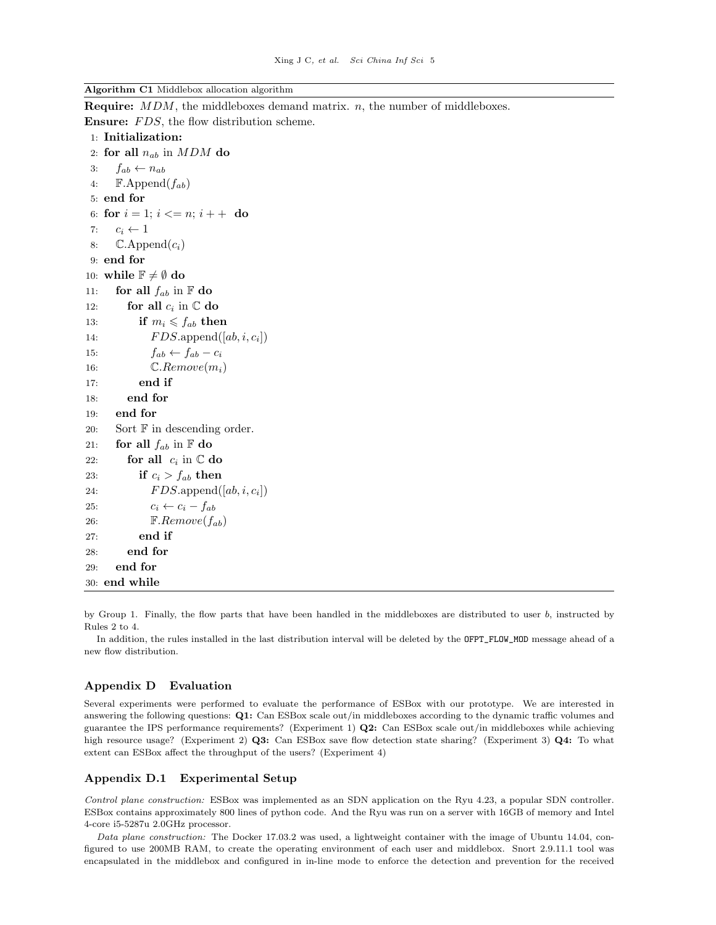**Algorithm C1** Middlebox allocation algorithm

**Require:** *MDM*, the middleboxes demand matrix. *n*, the number of middleboxes. **Ensure:** *FDS*, the flow distribution scheme.

```
1: Initialization:
 2: for all n_{ab} in MDM do
 3: fab ← nab
 4: \mathbb{F}.\mathrm{Append}(f_{ab})5: end for
 6: for i = 1; i \leq n; i + + do
 7: c_i \leftarrow 1<br>8: \mathbb{C}.\text{App}\mathbb{C}.Append(c_i)9: end for
10: while \mathbb{F} \neq \emptyset do
11: for all f_{ab} in F do
12: for all c_i in \mathbb C do
13: if m_i \leq f_{ab} then
14: F DS.append([ab, i, ci
])
15: f_{ab} \leftarrow f_{ab} - c_i16: C.Remove(mi)
17: end if
18: end for
19: end for
20: Sort \mathbb F in descending order.
21: for all f_{ab} in \mathbb F do
22: for all c_i in \mathbb C do
23: if c_i > f_{ab} then
24: F DS.append([ab, i, ci
])
25: c_i \leftarrow c_i - f_{ab}26: F.Remove(fab)
27: end if
28: end for
29: end for
30: end while
```
by Group 1. Finally, the flow parts that have been handled in the middleboxes are distributed to user *b*, instructed by Rules 2 to 4.

In addition, the rules installed in the last distribution interval will be deleted by the OFPT\_FLOW\_MOD message ahead of a new flow distribution.

## **Appendix D Evaluation**

Several experiments were performed to evaluate the performance of ESBox with our prototype. We are interested in answering the following questions: **Q1:** Can ESBox scale out/in middleboxes according to the dynamic traffic volumes and guarantee the IPS performance requirements? (Experiment 1) **Q2:** Can ESBox scale out/in middleboxes while achieving high resource usage? (Experiment 2) **Q3:** Can ESBox save flow detection state sharing? (Experiment 3) **Q4:** To what extent can ESBox affect the throughput of the users? (Experiment 4)

#### **Appendix D.1 Experimental Setup**

*Control plane construction:* ESBox was implemented as an SDN application on the Ryu 4.23, a popular SDN controller. ESBox contains approximately 800 lines of python code. And the Ryu was run on a server with 16GB of memory and Intel 4-core i5-5287u 2.0GHz processor.

*Data plane construction:* The Docker 17.03.2 was used, a lightweight container with the image of Ubuntu 14.04, configured to use 200MB RAM, to create the operating environment of each user and middlebox. Snort 2.9.11.1 tool was encapsulated in the middlebox and configured in in-line mode to enforce the detection and prevention for the received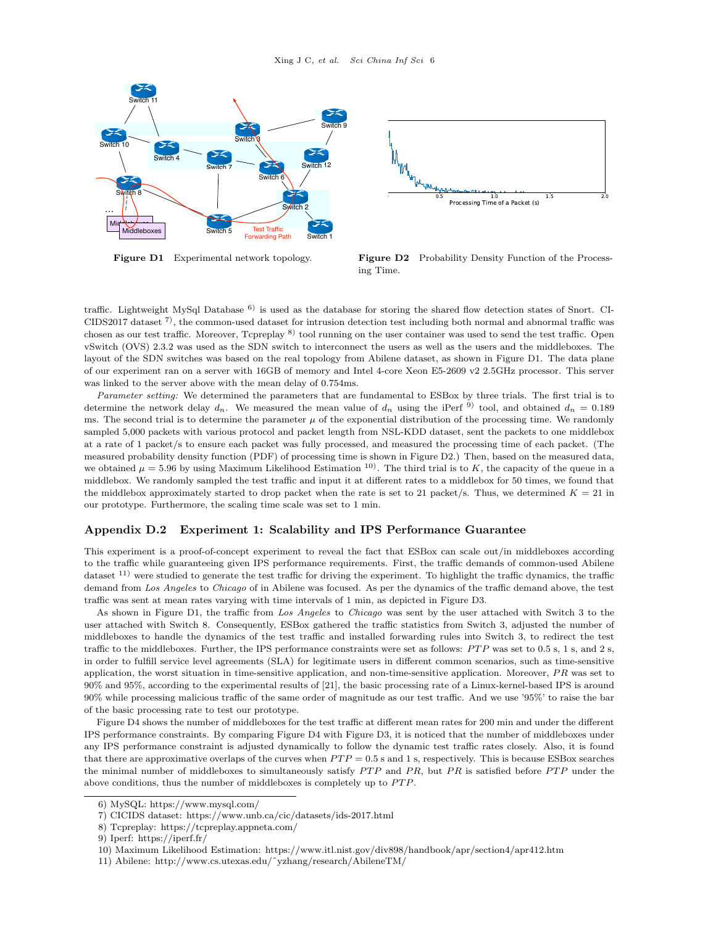



**Figure D1** Experimental network topology. **Figure D2** Probability Density Function of the Processing Time.

traffic. Lightweight MySql Database  $6$ ) is used as the database for storing the shared flow detection states of Snort. CI-CIDS2017 dataset  $\binom{7}{1}$ , the common-used dataset for intrusion detection test including both normal and abnormal traffic was chosen as our test traffic. Moreover, Tcpreplay <sup>8)</sup> tool running on the user container was used to send the test traffic. Open vSwitch (OVS) 2.3.2 was used as the SDN switch to interconnect the users as well as the users and the middleboxes. The layout of the SDN switches was based on the real topology from Abilene dataset, as shown in Figure D1. The data plane of our experiment ran on a server with 16GB of memory and Intel 4-core Xeon E5-2609 v2 2.5GHz processor. This server was linked to the server above with the mean delay of 0.754ms.

*Parameter setting:* We determined the parameters that are fundamental to ESBox by three trials. The first trial is to determine the network delay  $d_n$ . We measured the mean value of  $d_n$  using the iPerf<sup>9)</sup> tool, and obtained  $d_n = 0.189$ ms. The second trial is to determine the parameter  $\mu$  of the exponential distribution of the processing time. We randomly sampled 5,000 packets with various protocol and packet length from NSL-KDD dataset, sent the packets to one middlebox at a rate of 1 packet/s to ensure each packet was fully processed, and measured the processing time of each packet. (The measured probability density function (PDF) of processing time is shown in Figure D2.) Then, based on the measured data, we obtained  $\mu = 5.96$  by using Maximum Likelihood Estimation <sup>10</sup>. The third trial is to K, the capacity of the queue in a middlebox. We randomly sampled the test traffic and input it at different rates to a middlebox for 50 times, we found that the middlebox approximately started to drop packet when the rate is set to 21 packet/s. Thus, we determined  $K = 21$  in our prototype. Furthermore, the scaling time scale was set to 1 min.

#### **Appendix D.2 Experiment 1: Scalability and IPS Performance Guarantee**

This experiment is a proof-of-concept experiment to reveal the fact that ESBox can scale out/in middleboxes according to the traffic while guaranteeing given IPS performance requirements. First, the traffic demands of common-used Abilene dataset 11) were studied to generate the test traffic for driving the experiment. To highlight the traffic dynamics, the traffic demand from *Los Angeles* to *Chicago* of in Abilene was focused. As per the dynamics of the traffic demand above, the test traffic was sent at mean rates varying with time intervals of 1 min, as depicted in Figure D3.

As shown in Figure D1, the traffic from *Los Angeles* to *Chicago* was sent by the user attached with Switch 3 to the user attached with Switch 8. Consequently, ESBox gathered the traffic statistics from Switch 3, adjusted the number of middleboxes to handle the dynamics of the test traffic and installed forwarding rules into Switch 3, to redirect the test traffic to the middleboxes. Further, the IPS performance constraints were set as follows:  $PTP$  was set to 0.5 s, 1 s, and 2 s, in order to fulfill service level agreements (SLA) for legitimate users in different common scenarios, such as time-sensitive application, the worst situation in time-sensitive application, and non-time-sensitive application. Moreover, *P R* was set to 90% and 95%, according to the experimental results of [21], the basic processing rate of a Linux-kernel-based IPS is around 90% while processing malicious traffic of the same order of magnitude as our test traffic. And we use '95%' to raise the bar of the basic processing rate to test our prototype.

Figure D4 shows the number of middleboxes for the test traffic at different mean rates for 200 min and under the different IPS performance constraints. By comparing Figure D4 with Figure D3, it is noticed that the number of middleboxes under any IPS performance constraint is adjusted dynamically to follow the dynamic test traffic rates closely. Also, it is found that there are approximative overlaps of the curves when  $PTP = 0.5$  s and 1 s, respectively. This is because ESBox searches the minimal number of middleboxes to simultaneously satisfy *PTP* and *PR*, but *PR* is satisfied before *PTP* under the above conditions, thus the number of middleboxes is completely up to PTP.

<sup>6)</sup> MySQL: https://www.mysql.com/

<sup>7)</sup> CICIDS dataset: https://www.unb.ca/cic/datasets/ids-2017.html

<sup>8)</sup> Tcpreplay: https://tcpreplay.appneta.com/

<sup>9)</sup> Iperf: https://iperf.fr/

<sup>10)</sup> Maximum Likelihood Estimation: https://www.itl.nist.gov/div898/handbook/apr/section4/apr412.htm

<sup>11)</sup> Abilene: http://www.cs.utexas.edu/˜yzhang/research/AbileneTM/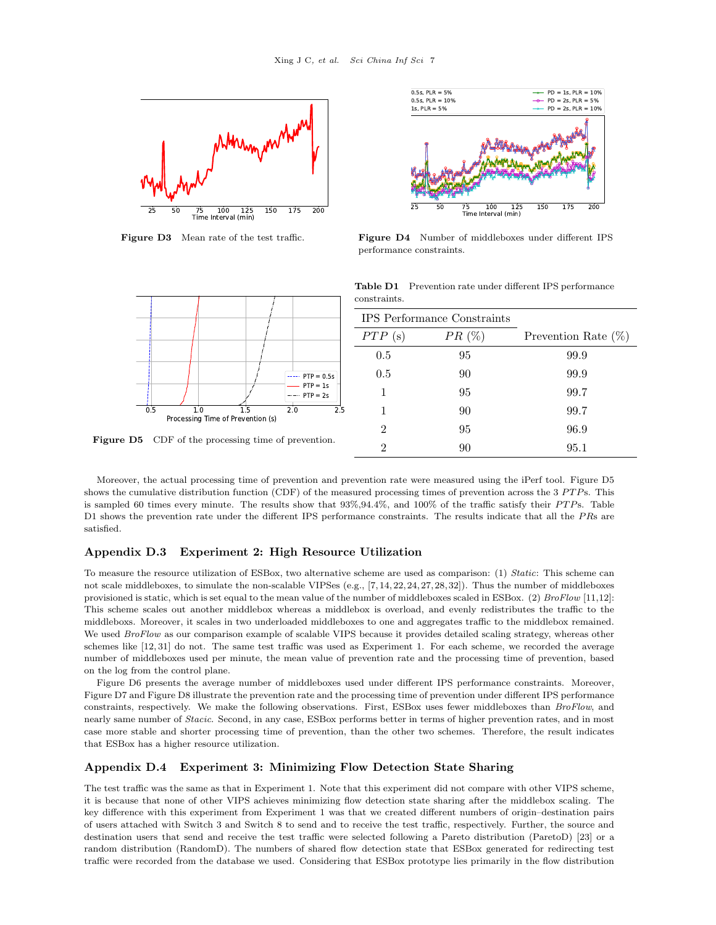



**Figure D3** Mean rate of the test traffic. **Figure D4** Number of middleboxes under different IPS performance constraints.

**Table D1** Prevention rate under different IPS performance



**Figure D5** CDF of the processing time of prevention.

| CO11001 all100.                    |          |                        |
|------------------------------------|----------|------------------------|
| <b>IPS</b> Performance Constraints |          |                        |
| PTP(s)                             | $PR(\%)$ | Prevention Rate $(\%)$ |
| 0.5                                | 95       | 99.9                   |
| 0.5                                | 90       | 99.9                   |
| 1                                  | 95       | 99.7                   |
|                                    | 90       | 99.7                   |
| 2                                  | 95       | 96.9                   |
| າ                                  | 90       | 95.1                   |

Moreover, the actual processing time of prevention and prevention rate were measured using the iPerf tool. Figure D5 shows the cumulative distribution function (CDF) of the measured processing times of prevention across the 3 *P T P*s. This is sampled 60 times every minute. The results show that 93%,94.4%, and 100% of the traffic satisfy their *P T P*s. Table D1 shows the prevention rate under the different IPS performance constraints. The results indicate that all the *P R*s are satisfied.

constraints.

# **Appendix D.3 Experiment 2: High Resource Utilization**

To measure the resource utilization of ESBox, two alternative scheme are used as comparison: (1) *Static*: This scheme can not scale middleboxes, to simulate the non-scalable VIPSes (e.g., [7, 14, 22, 24, 27, 28, 32]). Thus the number of middleboxes provisioned is static, which is set equal to the mean value of the number of middleboxes scaled in ESBox. (2) *BroFlow* [11,12]: This scheme scales out another middlebox whereas a middlebox is overload, and evenly redistributes the traffic to the middleboxs. Moreover, it scales in two underloaded middleboxes to one and aggregates traffic to the middlebox remained. We used *BroFlow* as our comparison example of scalable VIPS because it provides detailed scaling strategy, whereas other schemes like [12, 31] do not. The same test traffic was used as Experiment 1. For each scheme, we recorded the average number of middleboxes used per minute, the mean value of prevention rate and the processing time of prevention, based on the log from the control plane.

Figure D6 presents the average number of middleboxes used under different IPS performance constraints. Moreover, Figure D7 and Figure D8 illustrate the prevention rate and the processing time of prevention under different IPS performance constraints, respectively. We make the following observations. First, ESBox uses fewer middleboxes than *BroFlow*, and nearly same number of *Stacic*. Second, in any case, ESBox performs better in terms of higher prevention rates, and in most case more stable and shorter processing time of prevention, than the other two schemes. Therefore, the result indicates that ESBox has a higher resource utilization.

#### **Appendix D.4 Experiment 3: Minimizing Flow Detection State Sharing**

The test traffic was the same as that in Experiment 1. Note that this experiment did not compare with other VIPS scheme, it is because that none of other VIPS achieves minimizing flow detection state sharing after the middlebox scaling. The key difference with this experiment from Experiment 1 was that we created different numbers of origin–destination pairs of users attached with Switch 3 and Switch 8 to send and to receive the test traffic, respectively. Further, the source and destination users that send and receive the test traffic were selected following a Pareto distribution (ParetoD) [23] or a random distribution (RandomD). The numbers of shared flow detection state that ESBox generated for redirecting test traffic were recorded from the database we used. Considering that ESBox prototype lies primarily in the flow distribution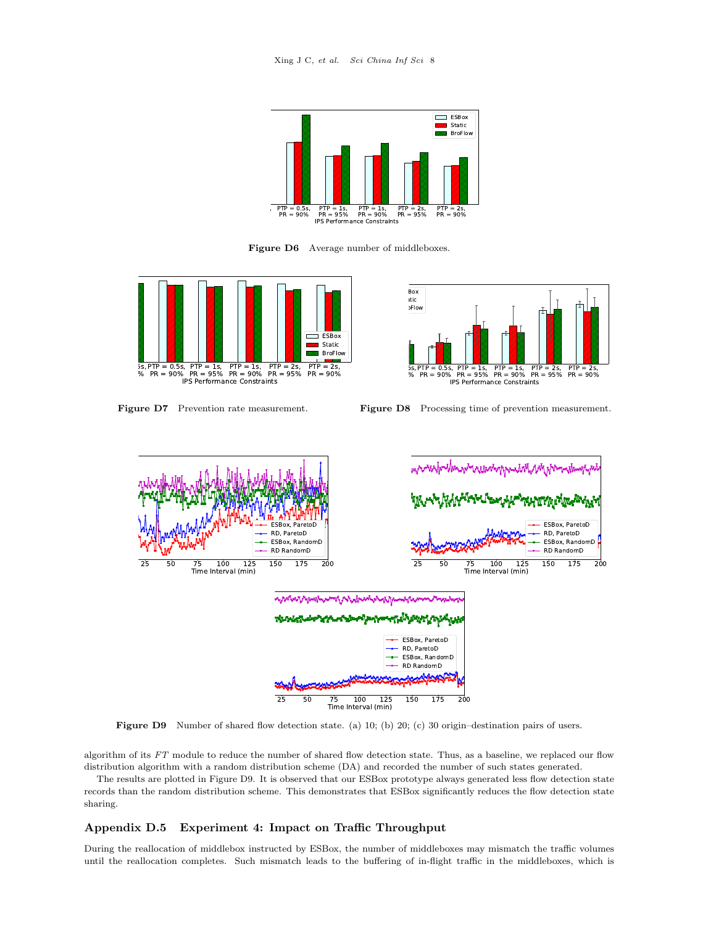

Figure D6 Average number of middleboxes.





**Figure D7** Prevention rate measurement. **Figure D8** Processing time of prevention measurement.



**Figure D9** Number of shared flow detection state. (a) 10; (b) 20; (c) 30 origin–destination pairs of users.

algorithm of its *FT* module to reduce the number of shared flow detection state. Thus, as a baseline, we replaced our flow distribution algorithm with a random distribution scheme (DA) and recorded the number of such states generated.

The results are plotted in Figure D9. It is observed that our ESBox prototype always generated less flow detection state records than the random distribution scheme. This demonstrates that ESBox significantly reduces the flow detection state sharing.

# **Appendix D.5 Experiment 4: Impact on Traffic Throughput**

During the reallocation of middlebox instructed by ESBox, the number of middleboxes may mismatch the traffic volumes until the reallocation completes. Such mismatch leads to the buffering of in-flight traffic in the middleboxes, which is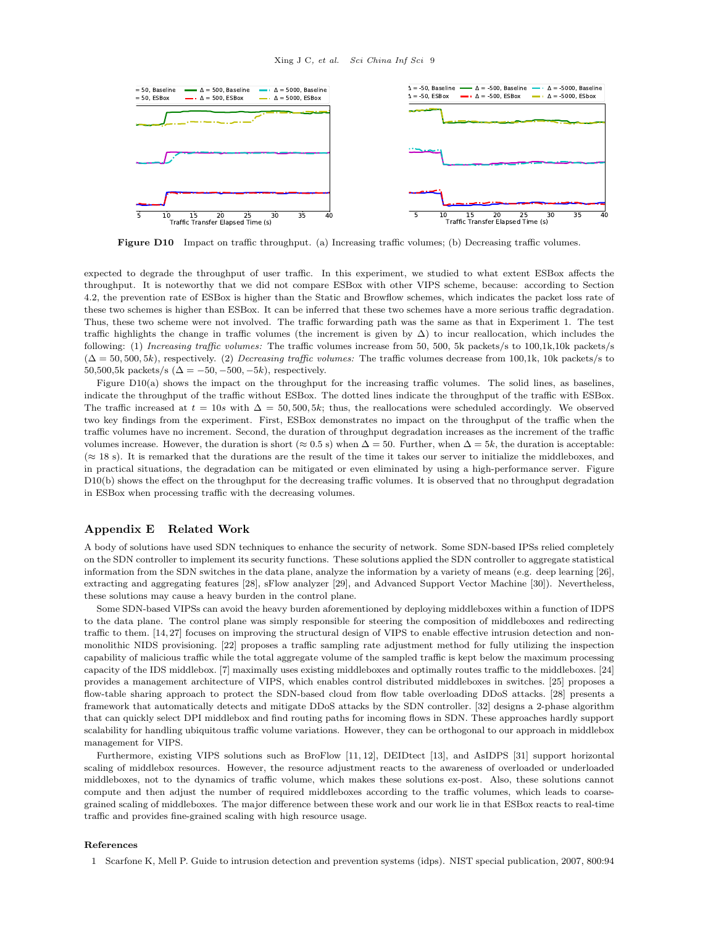

**Figure D10** Impact on traffic throughput. (a) Increasing traffic volumes; (b) Decreasing traffic volumes.

expected to degrade the throughput of user traffic. In this experiment, we studied to what extent ESBox affects the throughput. It is noteworthy that we did not compare ESBox with other VIPS scheme, because: according to Section 4.2, the prevention rate of ESBox is higher than the Static and Browflow schemes, which indicates the packet loss rate of these two schemes is higher than ESBox. It can be inferred that these two schemes have a more serious traffic degradation. Thus, these two scheme were not involved. The traffic forwarding path was the same as that in Experiment 1. The test traffic highlights the change in traffic volumes (the increment is given by  $\Delta$ ) to incur reallocation, which includes the following: (1) *Increasing traffic volumes:* The traffic volumes increase from 50, 500, 5k packets/s to 100,1k,10k packets/s (∆ = 50*,* 500*,* 5*k*), respectively. (2) *Decreasing traffic volumes:* The traffic volumes decrease from 100,1k, 10k packets/s to 50,500,5k packets/s ( $\Delta = -50, -500, -5k$ ), respectively.

Figure D10(a) shows the impact on the throughput for the increasing traffic volumes. The solid lines, as baselines, indicate the throughput of the traffic without ESBox. The dotted lines indicate the throughput of the traffic with ESBox. The traffic increased at  $t = 10s$  with  $\Delta = 50,500,5k$ ; thus, the reallocations were scheduled accordingly. We observed two key findings from the experiment. First, ESBox demonstrates no impact on the throughput of the traffic when the traffic volumes have no increment. Second, the duration of throughput degradation increases as the increment of the traffic volumes increase. However, the duration is short ( $\approx 0.5$  s) when  $\Delta = 50$ . Further, when  $\Delta = 5k$ , the duration is acceptable: (*≈* 18 s). It is remarked that the durations are the result of the time it takes our server to initialize the middleboxes, and in practical situations, the degradation can be mitigated or even eliminated by using a high-performance server. Figure D10(b) shows the effect on the throughput for the decreasing traffic volumes. It is observed that no throughput degradation in ESBox when processing traffic with the decreasing volumes.

#### **Appendix E Related Work**

A body of solutions have used SDN techniques to enhance the security of network. Some SDN-based IPSs relied completely on the SDN controller to implement its security functions. These solutions applied the SDN controller to aggregate statistical information from the SDN switches in the data plane, analyze the information by a variety of means (e.g. deep learning [26], extracting and aggregating features [28], sFlow analyzer [29], and Advanced Support Vector Machine [30]). Nevertheless, these solutions may cause a heavy burden in the control plane.

Some SDN-based VIPSs can avoid the heavy burden aforementioned by deploying middleboxes within a function of IDPS to the data plane. The control plane was simply responsible for steering the composition of middleboxes and redirecting traffic to them. [14, 27] focuses on improving the structural design of VIPS to enable effective intrusion detection and nonmonolithic NIDS provisioning. [22] proposes a traffic sampling rate adjustment method for fully utilizing the inspection capability of malicious traffic while the total aggregate volume of the sampled traffic is kept below the maximum processing capacity of the IDS middlebox. [7] maximally uses existing middleboxes and optimally routes traffic to the middleboxes. [24] provides a management architecture of VIPS, which enables control distributed middleboxes in switches. [25] proposes a flow-table sharing approach to protect the SDN-based cloud from flow table overloading DDoS attacks. [28] presents a framework that automatically detects and mitigate DDoS attacks by the SDN controller. [32] designs a 2-phase algorithm that can quickly select DPI middlebox and find routing paths for incoming flows in SDN. These approaches hardly support scalability for handling ubiquitous traffic volume variations. However, they can be orthogonal to our approach in middlebox management for VIPS.

Furthermore, existing VIPS solutions such as BroFlow [11, 12], DEIDtect [13], and AsIDPS [31] support horizontal scaling of middlebox resources. However, the resource adjustment reacts to the awareness of overloaded or underloaded middleboxes, not to the dynamics of traffic volume, which makes these solutions ex-post. Also, these solutions cannot compute and then adjust the number of required middleboxes according to the traffic volumes, which leads to coarsegrained scaling of middleboxes. The major difference between these work and our work lie in that ESBox reacts to real-time traffic and provides fine-grained scaling with high resource usage.

## **References**

1 Scarfone K, Mell P. Guide to intrusion detection and prevention systems (idps). NIST special publication, 2007, 800:94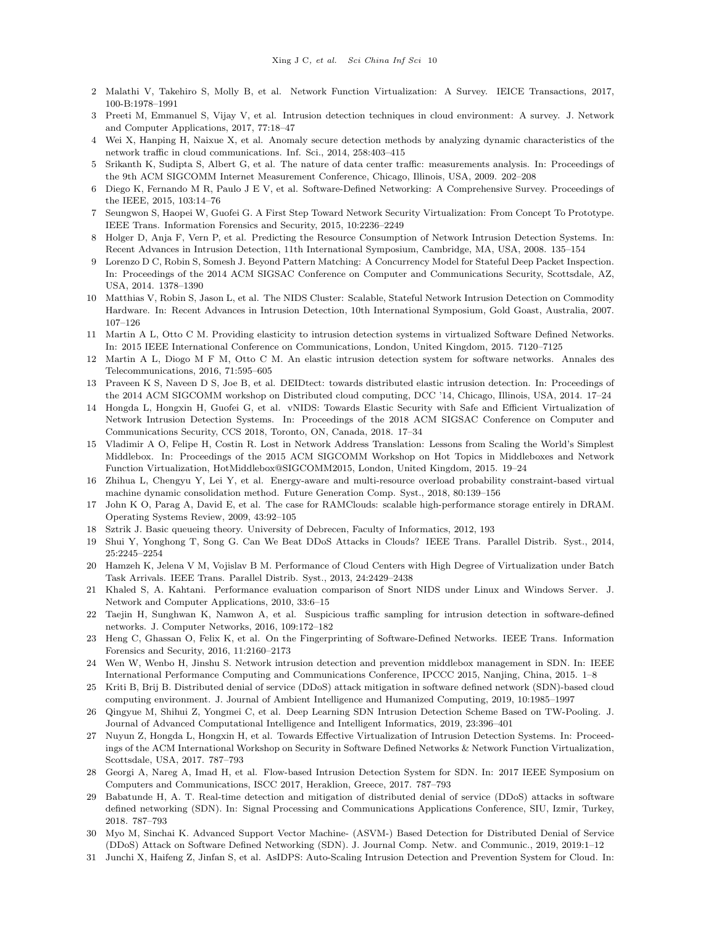- 2 Malathi V, Takehiro S, Molly B, et al. Network Function Virtualization: A Survey. IEICE Transactions, 2017, 100-B:1978–1991
- 3 Preeti M, Emmanuel S, Vijay V, et al. Intrusion detection techniques in cloud environment: A survey. J. Network and Computer Applications, 2017, 77:18–47
- 4 Wei X, Hanping H, Naixue X, et al. Anomaly secure detection methods by analyzing dynamic characteristics of the network traffic in cloud communications. Inf. Sci., 2014, 258:403–415
- 5 Srikanth K, Sudipta S, Albert G, et al. The nature of data center traffic: measurements analysis. In: Proceedings of the 9th ACM SIGCOMM Internet Measurement Conference, Chicago, Illinois, USA, 2009. 202–208
- 6 Diego K, Fernando M R, Paulo J E V, et al. Software-Defined Networking: A Comprehensive Survey. Proceedings of the IEEE, 2015, 103:14–76
- 7 Seungwon S, Haopei W, Guofei G. A First Step Toward Network Security Virtualization: From Concept To Prototype. IEEE Trans. Information Forensics and Security, 2015, 10:2236–2249
- 8 Holger D, Anja F, Vern P, et al. Predicting the Resource Consumption of Network Intrusion Detection Systems. In: Recent Advances in Intrusion Detection, 11th International Symposium, Cambridge, MA, USA, 2008. 135–154
- 9 Lorenzo D C, Robin S, Somesh J. Beyond Pattern Matching: A Concurrency Model for Stateful Deep Packet Inspection. In: Proceedings of the 2014 ACM SIGSAC Conference on Computer and Communications Security, Scottsdale, AZ, USA, 2014. 1378–1390
- 10 Matthias V, Robin S, Jason L, et al. The NIDS Cluster: Scalable, Stateful Network Intrusion Detection on Commodity Hardware. In: Recent Advances in Intrusion Detection, 10th International Symposium, Gold Goast, Australia, 2007. 107–126
- 11 Martin A L, Otto C M. Providing elasticity to intrusion detection systems in virtualized Software Defined Networks. In: 2015 IEEE International Conference on Communications, London, United Kingdom, 2015. 7120–7125
- 12 Martin A L, Diogo M F M, Otto C M. An elastic intrusion detection system for software networks. Annales des Telecommunications, 2016, 71:595–605
- 13 Praveen K S, Naveen D S, Joe B, et al. DEIDtect: towards distributed elastic intrusion detection. In: Proceedings of the 2014 ACM SIGCOMM workshop on Distributed cloud computing, DCC '14, Chicago, Illinois, USA, 2014. 17–24
- 14 Hongda L, Hongxin H, Guofei G, et al. vNIDS: Towards Elastic Security with Safe and Efficient Virtualization of Network Intrusion Detection Systems. In: Proceedings of the 2018 ACM SIGSAC Conference on Computer and Communications Security, CCS 2018, Toronto, ON, Canada, 2018. 17–34
- 15 Vladimir A O, Felipe H, Costin R. Lost in Network Address Translation: Lessons from Scaling the World's Simplest Middlebox. In: Proceedings of the 2015 ACM SIGCOMM Workshop on Hot Topics in Middleboxes and Network Function Virtualization, HotMiddlebox@SIGCOMM2015, London, United Kingdom, 2015. 19–24
- 16 Zhihua L, Chengyu Y, Lei Y, et al. Energy-aware and multi-resource overload probability constraint-based virtual machine dynamic consolidation method. Future Generation Comp. Syst., 2018, 80:139–156
- 17 John K O, Parag A, David E, et al. The case for RAMClouds: scalable high-performance storage entirely in DRAM. Operating Systems Review, 2009, 43:92–105
- 18 Sztrik J. Basic queueing theory. University of Debrecen, Faculty of Informatics, 2012, 193
- 19 Shui Y, Yonghong T, Song G. Can We Beat DDoS Attacks in Clouds? IEEE Trans. Parallel Distrib. Syst., 2014, 25:2245–2254
- 20 Hamzeh K, Jelena V M, Vojislav B M. Performance of Cloud Centers with High Degree of Virtualization under Batch Task Arrivals. IEEE Trans. Parallel Distrib. Syst., 2013, 24:2429–2438
- 21 Khaled S, A. Kahtani. Performance evaluation comparison of Snort NIDS under Linux and Windows Server. J. Network and Computer Applications, 2010, 33:6–15
- 22 Taejin H, Sunghwan K, Namwon A, et al. Suspicious traffic sampling for intrusion detection in software-defined networks. J. Computer Networks, 2016, 109:172–182
- 23 Heng C, Ghassan O, Felix K, et al. On the Fingerprinting of Software-Defined Networks. IEEE Trans. Information Forensics and Security, 2016, 11:2160–2173
- 24 Wen W, Wenbo H, Jinshu S. Network intrusion detection and prevention middlebox management in SDN. In: IEEE International Performance Computing and Communications Conference, IPCCC 2015, Nanjing, China, 2015. 1–8
- 25 Kriti B, Brij B. Distributed denial of service (DDoS) attack mitigation in software defined network (SDN)-based cloud computing environment. J. Journal of Ambient Intelligence and Humanized Computing, 2019, 10:1985–1997
- 26 Qingyue M, Shihui Z, Yongmei C, et al. Deep Learning SDN Intrusion Detection Scheme Based on TW-Pooling. J. Journal of Advanced Computational Intelligence and Intelligent Informatics, 2019, 23:396–401
- 27 Nuyun Z, Hongda L, Hongxin H, et al. Towards Effective Virtualization of Intrusion Detection Systems. In: Proceedings of the ACM International Workshop on Security in Software Defined Networks & Network Function Virtualization, Scottsdale, USA, 2017. 787–793
- 28 Georgi A, Nareg A, Imad H, et al. Flow-based Intrusion Detection System for SDN. In: 2017 IEEE Symposium on Computers and Communications, ISCC 2017, Heraklion, Greece, 2017. 787–793
- 29 Babatunde H, A. T. Real-time detection and mitigation of distributed denial of service (DDoS) attacks in software defined networking (SDN). In: Signal Processing and Communications Applications Conference, SIU, Izmir, Turkey, 2018. 787–793
- 30 Myo M, Sinchai K. Advanced Support Vector Machine- (ASVM-) Based Detection for Distributed Denial of Service (DDoS) Attack on Software Defined Networking (SDN). J. Journal Comp. Netw. and Communic., 2019, 2019:1–12
- 31 Junchi X, Haifeng Z, Jinfan S, et al. AsIDPS: Auto-Scaling Intrusion Detection and Prevention System for Cloud. In: